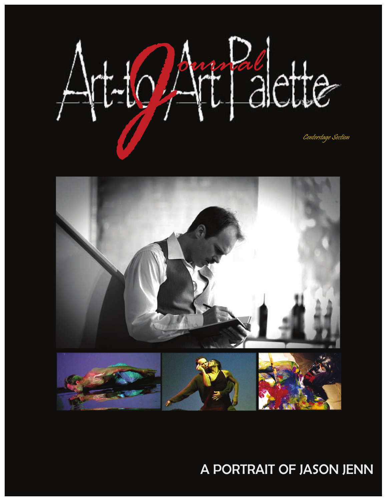



## A PORTRAIT OF JASON JENN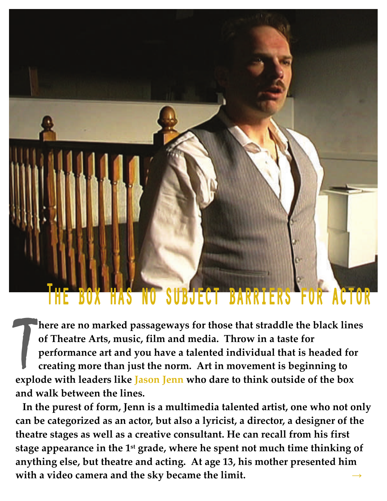## The box has no subject barriers for actor

**here** are no marked passageways for those that straddle the black lines of Theatre Arts, music, film and media. Throw in a taste for performance art and you have a talented individual that is headed for creating more than **of Theatre Arts, music, film and media. Throw in a taste for performance art and you have a talented individual that is headed for creating more than just the norm. Art in movement is beginning to explode with leaders like Jason Jenn who dare to think outside of the box and walk between the lines.** 

 **In the purest of form, Jenn is a multimedia talented artist, one who not only can be categorized as an actor, but also a lyricist, a director, a designer of the theatre stages as well as a creative consultant. He can recall from his first stage appearance in the 1st grade, where he spent not much time thinking of anything else, but theatre and acting. At age 13, his mother presented him with a video camera and the sky became the limit. →**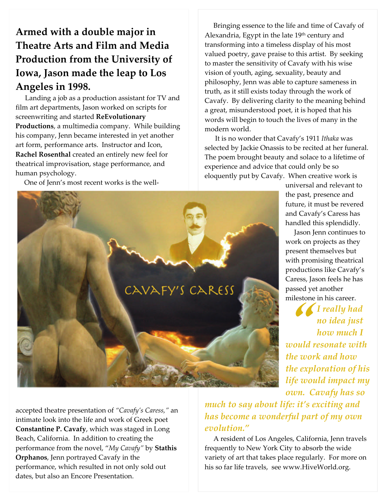## **Armed with a double major in Theatre Arts and Film and Media Production from the University of Iowa, Jason made the leap to Los Angeles in 1998.**

Landing a job as a production assistant for TV and film art departments, Jason worked on scripts for screenwriting and started **ReEvolutionary Productions**, a multimedia company. While building his company, Jenn became interested in yet another art form, performance arts. Instructor and Icon, **Rachel Rosenthal** created an entirely new feel for theatrical improvisation, stage performance, and human psychology.

One of Jenn's most recent works is the well‐

 Bringing essence to the life and time of Cavafy of Alexandria, Egypt in the late 19<sup>th</sup> century and transforming into a timeless display of his most valued poetry, gave praise to this artist. By seeking to master the sensitivity of Cavafy with his wise vision of youth, aging, sexuality, beauty and philosophy, Jenn was able to capture sameness in truth, as it still exists today through the work of Cavafy. By delivering clarity to the meaning behind a great, misunderstood poet, it is hoped that his words will begin to touch the lives of many in the modern world.

 It is no wonder that Cavafy's 1911 *Ithaka* was selected by Jackie Onassis to be recited at her funeral. The poem brought beauty and solace to a lifetime of experience and advice that could only be so eloquently put by Cavafy. When creative work is

> universal and relevant to the past, presence and future, it must be revered and Cavafy's Caress has handled this splendidly.

 Jason Jenn continues to work on projects as they present themselves but with promising theatrical productions like Cavafy's Caress, Jason feels he has passed yet another milestone in his career.

 $\sum_{i=1}^{n}$ *I really had no idea just how much I would resonate with the work and how the exploration of his life would impact my own. Cavafy has so*

accepted theatre presentation of *"Cavafy's Caress,"* an intimate look into the life and work of Greek poet **Constantine P. Cavafy**, which was staged in Long Beach, California. In addition to creating the performance from the novel, "*My Cavafy"* by **Stathis Orphanos**, Jenn portrayed Cavafy in the performance, which resulted in not only sold out dates, but also an Encore Presentation.

*much to say about life: it's exciting and has become a wonderful part of my own evolution."*

 A resident of Los Angeles, California, Jenn travels frequently to New York City to absorb the wide variety of art that takes place regularly. For more on his so far life travels, see www.HiveWorld.org.